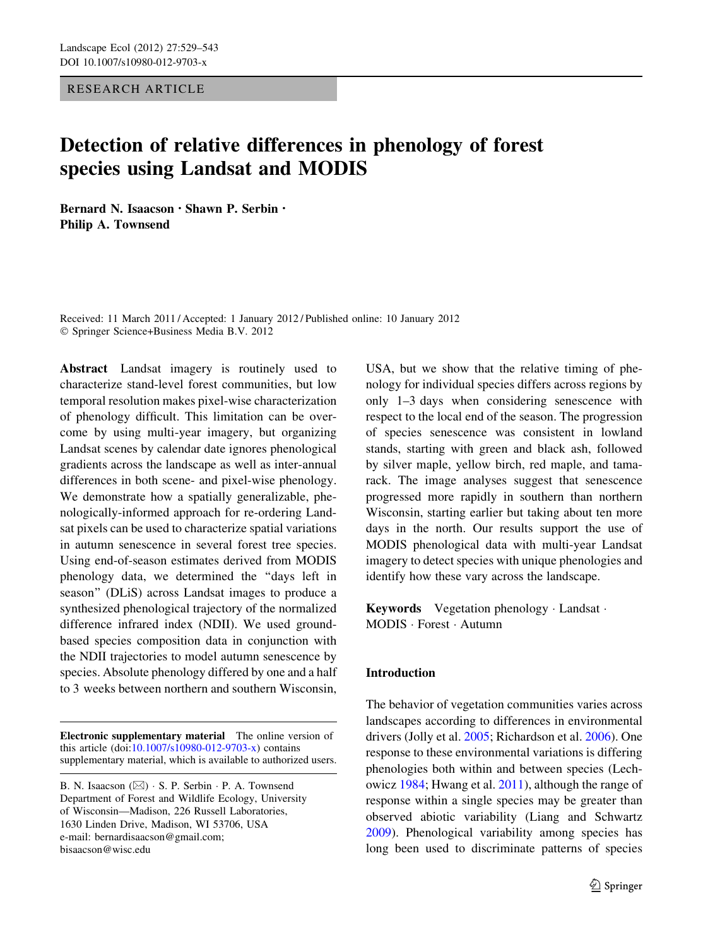RESEARCH ARTICLE

# Detection of relative differences in phenology of forest species using Landsat and MODIS

Bernard N. Isaacson • Shawn P. Serbin • Philip A. Townsend

Received: 11 March 2011 / Accepted: 1 January 2012 / Published online: 10 January 2012 © Springer Science+Business Media B.V. 2012

Abstract Landsat imagery is routinely used to characterize stand-level forest communities, but low temporal resolution makes pixel-wise characterization of phenology difficult. This limitation can be overcome by using multi-year imagery, but organizing Landsat scenes by calendar date ignores phenological gradients across the landscape as well as inter-annual differences in both scene- and pixel-wise phenology. We demonstrate how a spatially generalizable, phenologically-informed approach for re-ordering Landsat pixels can be used to characterize spatial variations in autumn senescence in several forest tree species. Using end-of-season estimates derived from MODIS phenology data, we determined the ''days left in season'' (DLiS) across Landsat images to produce a synthesized phenological trajectory of the normalized difference infrared index (NDII). We used groundbased species composition data in conjunction with the NDII trajectories to model autumn senescence by species. Absolute phenology differed by one and a half to 3 weeks between northern and southern Wisconsin,

USA, but we show that the relative timing of phenology for individual species differs across regions by only 1–3 days when considering senescence with respect to the local end of the season. The progression of species senescence was consistent in lowland stands, starting with green and black ash, followed by silver maple, yellow birch, red maple, and tamarack. The image analyses suggest that senescence progressed more rapidly in southern than northern Wisconsin, starting earlier but taking about ten more days in the north. Our results support the use of MODIS phenological data with multi-year Landsat imagery to detect species with unique phenologies and identify how these vary across the landscape.

Keywords Vegetation phenology · Landsat · MODIS - Forest - Autumn

## Introduction

The behavior of vegetation communities varies across landscapes according to differences in environmental drivers (Jolly et al. [2005](#page-14-0); Richardson et al. [2006\)](#page-14-0). One response to these environmental variations is differing phenologies both within and between species (Lechowicz [1984;](#page-14-0) Hwang et al. [2011](#page-14-0)), although the range of response within a single species may be greater than observed abiotic variability (Liang and Schwartz [2009\)](#page-14-0). Phenological variability among species has long been used to discriminate patterns of species

Electronic supplementary material The online version of this article (doi[:10.1007/s10980-012-9703-x\)](http://dx.doi.org/10.1007/s10980-012-9703-x) contains supplementary material, which is available to authorized users.

B. N. Isaacson  $(\boxtimes) \cdot S$ . P. Serbin  $\cdot$  P. A. Townsend Department of Forest and Wildlife Ecology, University of Wisconsin—Madison, 226 Russell Laboratories, 1630 Linden Drive, Madison, WI 53706, USA e-mail: bernardisaacson@gmail.com; bisaacson@wisc.edu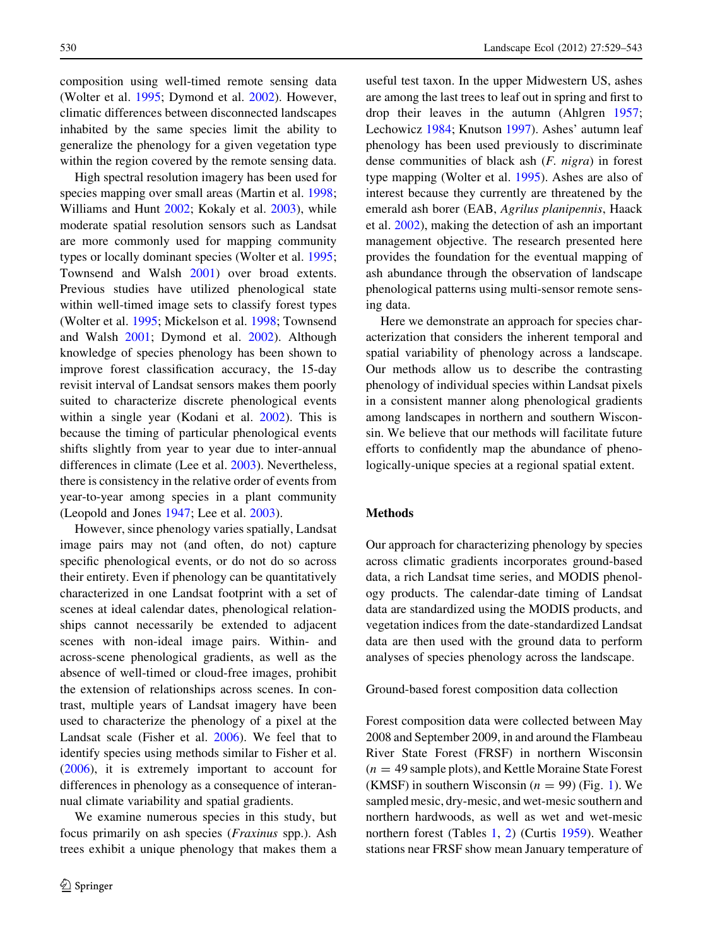composition using well-timed remote sensing data (Wolter et al. [1995](#page-14-0); Dymond et al. [2002\)](#page-13-0). However, climatic differences between disconnected landscapes inhabited by the same species limit the ability to generalize the phenology for a given vegetation type within the region covered by the remote sensing data.

High spectral resolution imagery has been used for species mapping over small areas (Martin et al. [1998](#page-14-0); Williams and Hunt [2002](#page-14-0); Kokaly et al. [2003\)](#page-14-0), while moderate spatial resolution sensors such as Landsat are more commonly used for mapping community types or locally dominant species (Wolter et al. [1995](#page-14-0); Townsend and Walsh [2001\)](#page-14-0) over broad extents. Previous studies have utilized phenological state within well-timed image sets to classify forest types (Wolter et al. [1995;](#page-14-0) Mickelson et al. [1998](#page-14-0); Townsend and Walsh [2001](#page-14-0); Dymond et al. [2002](#page-13-0)). Although knowledge of species phenology has been shown to improve forest classification accuracy, the 15-day revisit interval of Landsat sensors makes them poorly suited to characterize discrete phenological events within a single year (Kodani et al. [2002](#page-14-0)). This is because the timing of particular phenological events shifts slightly from year to year due to inter-annual differences in climate (Lee et al. [2003\)](#page-14-0). Nevertheless, there is consistency in the relative order of events from year-to-year among species in a plant community (Leopold and Jones [1947](#page-14-0); Lee et al. [2003](#page-14-0)).

However, since phenology varies spatially, Landsat image pairs may not (and often, do not) capture specific phenological events, or do not do so across their entirety. Even if phenology can be quantitatively characterized in one Landsat footprint with a set of scenes at ideal calendar dates, phenological relationships cannot necessarily be extended to adjacent scenes with non-ideal image pairs. Within- and across-scene phenological gradients, as well as the absence of well-timed or cloud-free images, prohibit the extension of relationships across scenes. In contrast, multiple years of Landsat imagery have been used to characterize the phenology of a pixel at the Landsat scale (Fisher et al. [2006](#page-14-0)). We feel that to identify species using methods similar to Fisher et al. [\(2006](#page-14-0)), it is extremely important to account for differences in phenology as a consequence of interannual climate variability and spatial gradients.

We examine numerous species in this study, but focus primarily on ash species (Fraxinus spp.). Ash trees exhibit a unique phenology that makes them a useful test taxon. In the upper Midwestern US, ashes are among the last trees to leaf out in spring and first to drop their leaves in the autumn (Ahlgren [1957](#page-13-0); Lechowicz [1984;](#page-14-0) Knutson [1997\)](#page-14-0). Ashes' autumn leaf phenology has been used previously to discriminate dense communities of black ash (F. nigra) in forest type mapping (Wolter et al. [1995](#page-14-0)). Ashes are also of interest because they currently are threatened by the emerald ash borer (EAB, Agrilus planipennis, Haack et al. [2002](#page-14-0)), making the detection of ash an important management objective. The research presented here provides the foundation for the eventual mapping of ash abundance through the observation of landscape phenological patterns using multi-sensor remote sensing data.

Here we demonstrate an approach for species characterization that considers the inherent temporal and spatial variability of phenology across a landscape. Our methods allow us to describe the contrasting phenology of individual species within Landsat pixels in a consistent manner along phenological gradients among landscapes in northern and southern Wisconsin. We believe that our methods will facilitate future efforts to confidently map the abundance of phenologically-unique species at a regional spatial extent.

## Methods

Our approach for characterizing phenology by species across climatic gradients incorporates ground-based data, a rich Landsat time series, and MODIS phenology products. The calendar-date timing of Landsat data are standardized using the MODIS products, and vegetation indices from the date-standardized Landsat data are then used with the ground data to perform analyses of species phenology across the landscape.

Ground-based forest composition data collection

Forest composition data were collected between May 2008 and September 2009, in and around the Flambeau River State Forest (FRSF) in northern Wisconsin  $(n = 49$  sample plots), and Kettle Moraine State Forest (KMSF) in southern Wisconsin ( $n = 99$ ) (Fig. [1](#page-2-0)). We sampled mesic, dry-mesic, and wet-mesic southern and northern hardwoods, as well as wet and wet-mesic northern forest (Tables [1](#page-2-0), [2](#page-3-0)) (Curtis [1959\)](#page-13-0). Weather stations near FRSF show mean January temperature of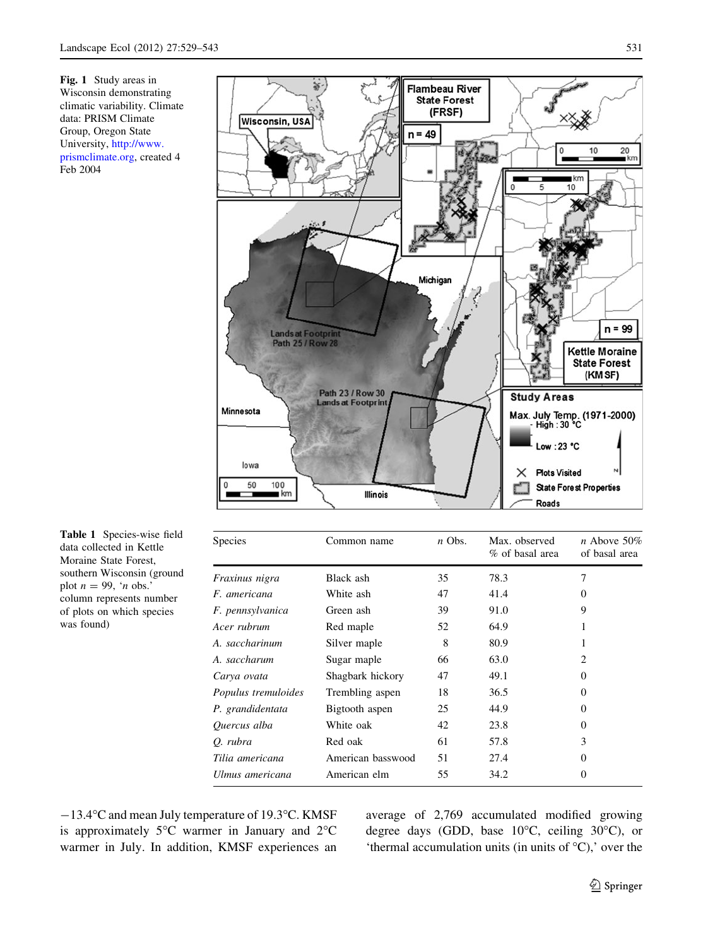<span id="page-2-0"></span>



| <b>Species</b>      | Common name       | $n$ Obs. | Max. observed<br>% of basal area | <i>n</i> Above $50\%$<br>of basal area |  |
|---------------------|-------------------|----------|----------------------------------|----------------------------------------|--|
| Fraxinus nigra      | Black ash         | 35       | 78.3                             | 7                                      |  |
| F. americana        | White ash         | 47       | 41.4                             | $\Omega$                               |  |
| F. pennsylvanica    | Green ash         | 39       | 91.0                             | 9                                      |  |
| Acer rubrum         | Red maple         | 52       | 64.9                             |                                        |  |
| A. saccharinum      | Silver maple      | 8        | 80.9                             |                                        |  |
| A. saccharum        | Sugar maple       | 66       | 63.0                             | $\overline{2}$                         |  |
| Carya ovata         | Shagbark hickory  | 47       | 49.1                             | $\Omega$                               |  |
| Populus tremuloides | Trembling aspen   | 18       | 36.5                             | $\Omega$                               |  |
| P. grandidentata    | Bigtooth aspen    | 25       | 44.9                             | $\Omega$                               |  |
| Ouercus alba        | White oak         | 42       | 23.8                             | $\theta$                               |  |
| O. rubra            | Red oak           | 61       | 57.8                             | 3                                      |  |
| Tilia americana     | American basswood | 51       | 27.4                             | $\Omega$                               |  |
| Ulmus americana     | American elm      | 55       | 34.2                             | $\theta$                               |  |

Table 1 Species-wise field data collected in Kettle Moraine State Forest, southern Wisconsin (ground plot  $n = 99$ , 'n obs.' column represents number of plots on which species was found)

 $-13.4$ <sup>o</sup>C and mean July temperature of 19.3<sup>o</sup>C. KMSF is approximately  $5^{\circ}$ C warmer in January and  $2^{\circ}$ C warmer in July. In addition, KMSF experiences an average of 2,769 accumulated modified growing degree days (GDD, base  $10^{\circ}$ C, ceiling  $30^{\circ}$ C), or 'thermal accumulation units (in units of  $\mathrm{C}$ ),' over the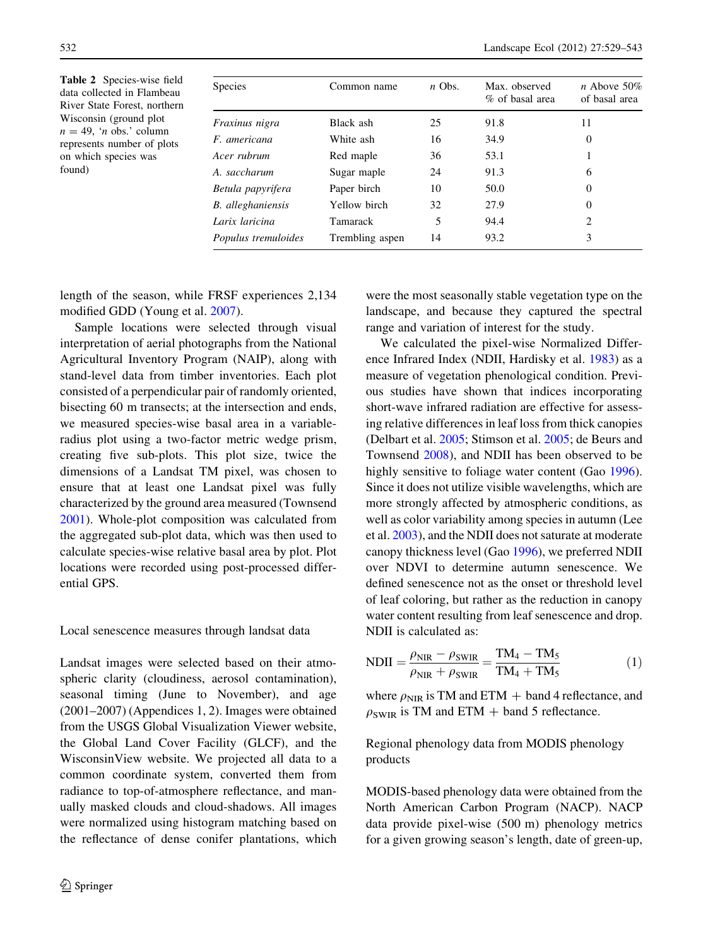<span id="page-3-0"></span>

| <b>Table 2</b> Species-wise field |
|-----------------------------------|
| data collected in Flambeau        |
| River State Forest, northern      |
| Wisconsin (ground plot            |
| $n = 49$ , 'n obs.' column        |
| represents number of plots        |
| on which species was              |
| found)                            |
|                                   |

| <b>Species</b>           | Common name     | $n$ Obs. | Max. observed<br>% of basal area | <i>n</i> Above $50\%$<br>of basal area |
|--------------------------|-----------------|----------|----------------------------------|----------------------------------------|
| Fraxinus nigra           | Black ash       | 25       | 91.8                             | 11                                     |
| F. americana             | White ash       | 16       | 34.9                             | $\Omega$                               |
| Acer rubrum              | Red maple       | 36       | 53.1                             |                                        |
| A. saccharum             | Sugar maple     | 24       | 91.3                             | 6                                      |
| Betula papyrifera        | Paper birch     | 10       | 50.0                             | $\Omega$                               |
| <b>B.</b> alleghaniensis | Yellow birch    | 32       | 27.9                             | $\Omega$                               |
| Larix laricina           | Tamarack        | 5        | 94.4                             | 2                                      |
| Populus tremuloides      | Trembling aspen | 14       | 93.2                             | 3                                      |

length of the season, while FRSF experiences 2,134 modified GDD (Young et al. [2007\)](#page-14-0).

Sample locations were selected through visual interpretation of aerial photographs from the National Agricultural Inventory Program (NAIP), along with stand-level data from timber inventories. Each plot consisted of a perpendicular pair of randomly oriented, bisecting 60 m transects; at the intersection and ends, we measured species-wise basal area in a variableradius plot using a two-factor metric wedge prism, creating five sub-plots. This plot size, twice the dimensions of a Landsat TM pixel, was chosen to ensure that at least one Landsat pixel was fully characterized by the ground area measured (Townsend [2001\)](#page-14-0). Whole-plot composition was calculated from the aggregated sub-plot data, which was then used to calculate species-wise relative basal area by plot. Plot locations were recorded using post-processed differential GPS.

#### Local senescence measures through landsat data

Landsat images were selected based on their atmospheric clarity (cloudiness, aerosol contamination), seasonal timing (June to November), and age (2001–2007) (Appendices 1, 2). Images were obtained from the USGS Global Visualization Viewer website, the Global Land Cover Facility (GLCF), and the WisconsinView website. We projected all data to a common coordinate system, converted them from radiance to top-of-atmosphere reflectance, and manually masked clouds and cloud-shadows. All images were normalized using histogram matching based on the reflectance of dense conifer plantations, which were the most seasonally stable vegetation type on the landscape, and because they captured the spectral range and variation of interest for the study.

We calculated the pixel-wise Normalized Difference Infrared Index (NDII, Hardisky et al. [1983\)](#page-14-0) as a measure of vegetation phenological condition. Previous studies have shown that indices incorporating short-wave infrared radiation are effective for assessing relative differences in leaf loss from thick canopies (Delbart et al. [2005;](#page-13-0) Stimson et al. [2005;](#page-14-0) de Beurs and Townsend [2008\)](#page-13-0), and NDII has been observed to be highly sensitive to foliage water content (Gao [1996](#page-14-0)). Since it does not utilize visible wavelengths, which are more strongly affected by atmospheric conditions, as well as color variability among species in autumn (Lee et al. [2003](#page-14-0)), and the NDII does not saturate at moderate canopy thickness level (Gao [1996\)](#page-14-0), we preferred NDII over NDVI to determine autumn senescence. We defined senescence not as the onset or threshold level of leaf coloring, but rather as the reduction in canopy water content resulting from leaf senescence and drop. NDII is calculated as:

$$
NDII = \frac{\rho_{NIR} - \rho_{SWIR}}{\rho_{NIR} + \rho_{SWIR}} = \frac{TM_4 - TM_5}{TM_4 + TM_5}
$$
(1)

where  $\rho_{\text{NIR}}$  is TM and ETM  $+$  band 4 reflectance, and  $\rho_{\text{SWIR}}$  is TM and ETM + band 5 reflectance.

## Regional phenology data from MODIS phenology products

MODIS-based phenology data were obtained from the North American Carbon Program (NACP). NACP data provide pixel-wise (500 m) phenology metrics for a given growing season's length, date of green-up,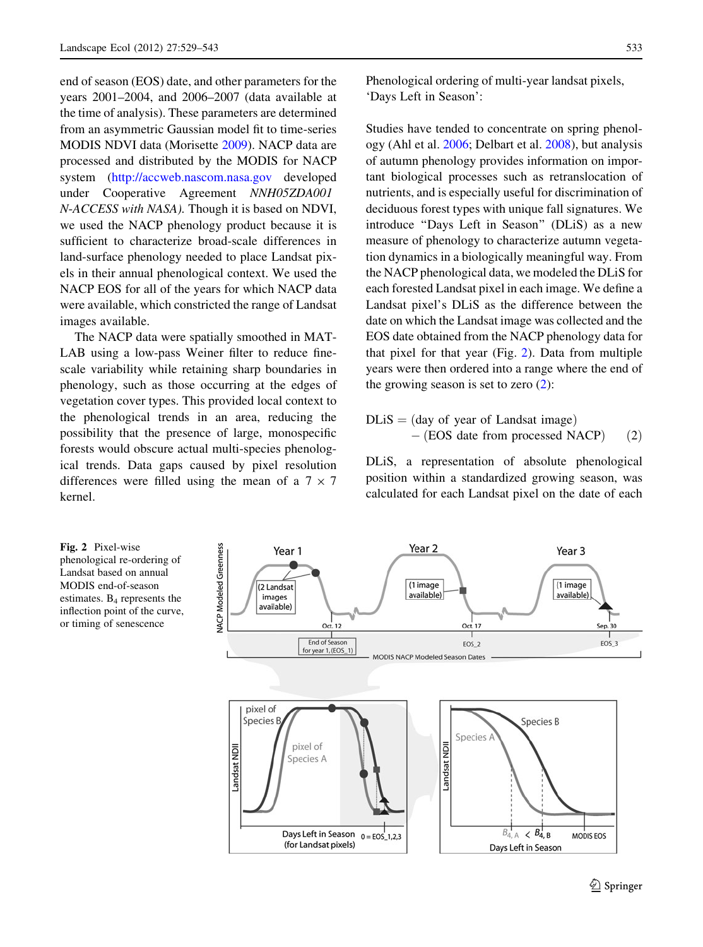<span id="page-4-0"></span>end of season (EOS) date, and other parameters for the years 2001–2004, and 2006–2007 (data available at the time of analysis). These parameters are determined from an asymmetric Gaussian model fit to time-series MODIS NDVI data (Morisette [2009\)](#page-14-0). NACP data are processed and distributed by the MODIS for NACP system (<http://accweb.nascom.nasa.gov> developed under Cooperative Agreement NNH05ZDA001 N-ACCESS with NASA). Though it is based on NDVI, we used the NACP phenology product because it is sufficient to characterize broad-scale differences in land-surface phenology needed to place Landsat pixels in their annual phenological context. We used the NACP EOS for all of the years for which NACP data were available, which constricted the range of Landsat images available.

The NACP data were spatially smoothed in MAT-LAB using a low-pass Weiner filter to reduce finescale variability while retaining sharp boundaries in phenology, such as those occurring at the edges of vegetation cover types. This provided local context to the phenological trends in an area, reducing the possibility that the presence of large, monospecific forests would obscure actual multi-species phenological trends. Data gaps caused by pixel resolution differences were filled using the mean of a  $7 \times 7$ kernel.

Phenological ordering of multi-year landsat pixels, 'Days Left in Season':

Studies have tended to concentrate on spring phenology (Ahl et al. [2006;](#page-13-0) Delbart et al. [2008\)](#page-13-0), but analysis of autumn phenology provides information on important biological processes such as retranslocation of nutrients, and is especially useful for discrimination of deciduous forest types with unique fall signatures. We introduce ''Days Left in Season'' (DLiS) as a new measure of phenology to characterize autumn vegetation dynamics in a biologically meaningful way. From the NACP phenological data, we modeled the DLiS for each forested Landsat pixel in each image. We define a Landsat pixel's DLiS as the difference between the date on which the Landsat image was collected and the EOS date obtained from the NACP phenology data for that pixel for that year (Fig. 2). Data from multiple years were then ordered into a range where the end of the growing season is set to zero  $(2)$ :

 $DLiS = (day \text{ of } year \text{ of } Landsat \text{ image})$  $-$  (EOS date from processed NACP) (2)

DLiS, a representation of absolute phenological position within a standardized growing season, was calculated for each Landsat pixel on the date of each

Fig. 2 Pixel-wise phenological re-ordering of Landsat based on annual MODIS end-of-season estimates. B<sub>4</sub> represents the inflection point of the curve, or timing of senescence

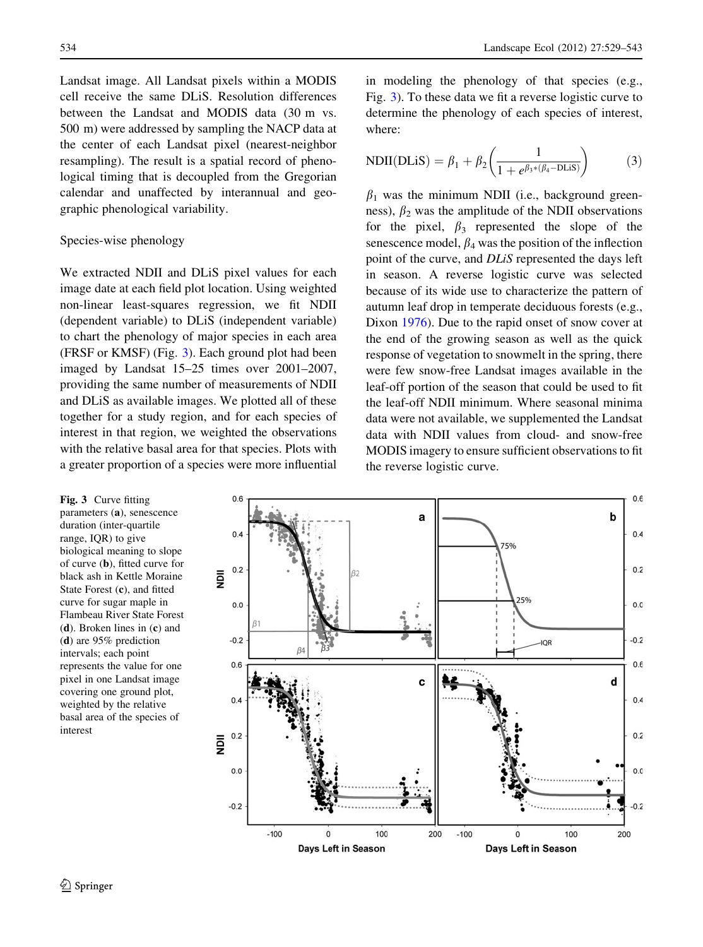<span id="page-5-0"></span>Landsat image. All Landsat pixels within a MODIS cell receive the same DLiS. Resolution differences between the Landsat and MODIS data (30 m vs. 500 m) were addressed by sampling the NACP data at the center of each Landsat pixel (nearest-neighbor resampling). The result is a spatial record of phenological timing that is decoupled from the Gregorian calendar and unaffected by interannual and geographic phenological variability.

## Species-wise phenology

We extracted NDII and DLiS pixel values for each image date at each field plot location. Using weighted non-linear least-squares regression, we fit NDII (dependent variable) to DLiS (independent variable) to chart the phenology of major species in each area (FRSF or KMSF) (Fig. 3). Each ground plot had been imaged by Landsat 15–25 times over 2001–2007, providing the same number of measurements of NDII and DLiS as available images. We plotted all of these together for a study region, and for each species of interest in that region, we weighted the observations with the relative basal area for that species. Plots with a greater proportion of a species were more influential

Fig. 3 Curve fitting parameters (a), senescence duration (inter-quartile range, IQR) to give biological meaning to slope of curve (b), fitted curve for black ash in Kettle Moraine State Forest (c), and fitted curve for sugar maple in Flambeau River State Forest (d). Broken lines in (c) and (d) are 95% prediction intervals; each point represents the value for one pixel in one Landsat image covering one ground plot, weighted by the relative basal area of the species of interest

in modeling the phenology of that species (e.g., Fig. 3). To these data we fit a reverse logistic curve to determine the phenology of each species of interest, where:

$$
NDII(DLiS) = \beta_1 + \beta_2 \left( \frac{1}{1 + e^{\beta_3 * (\beta_4 - DLiS)}} \right)
$$
(3)

 $\beta_1$  was the minimum NDII (i.e., background greenness),  $\beta_2$  was the amplitude of the NDII observations for the pixel,  $\beta_3$  represented the slope of the senescence model,  $\beta_4$  was the position of the inflection point of the curve, and DLiS represented the days left in season. A reverse logistic curve was selected because of its wide use to characterize the pattern of autumn leaf drop in temperate deciduous forests (e.g., Dixon [1976\)](#page-13-0). Due to the rapid onset of snow cover at the end of the growing season as well as the quick response of vegetation to snowmelt in the spring, there were few snow-free Landsat images available in the leaf-off portion of the season that could be used to fit the leaf-off NDII minimum. Where seasonal minima data were not available, we supplemented the Landsat data with NDII values from cloud- and snow-free MODIS imagery to ensure sufficient observations to fit the reverse logistic curve.

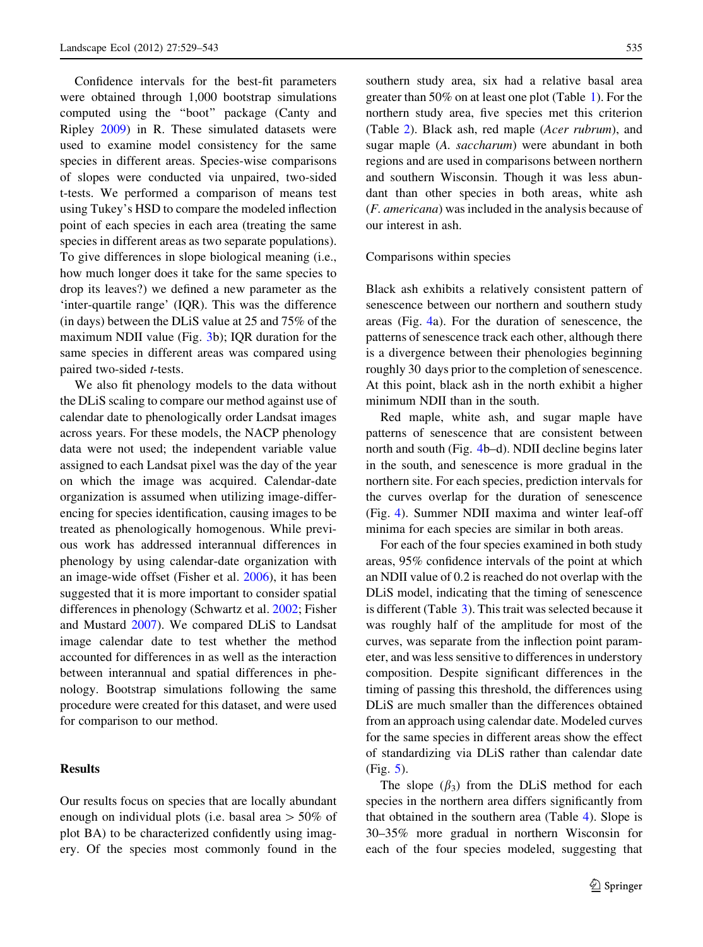Confidence intervals for the best-fit parameters were obtained through 1,000 bootstrap simulations computed using the ''boot'' package (Canty and Ripley [2009](#page-13-0)) in R. These simulated datasets were used to examine model consistency for the same species in different areas. Species-wise comparisons of slopes were conducted via unpaired, two-sided t-tests. We performed a comparison of means test using Tukey's HSD to compare the modeled inflection point of each species in each area (treating the same species in different areas as two separate populations). To give differences in slope biological meaning (i.e., how much longer does it take for the same species to drop its leaves?) we defined a new parameter as the 'inter-quartile range' (IQR). This was the difference (in days) between the DLiS value at 25 and 75% of the maximum NDII value (Fig. [3b](#page-5-0)); IQR duration for the same species in different areas was compared using paired two-sided t-tests.

We also fit phenology models to the data without the DLiS scaling to compare our method against use of calendar date to phenologically order Landsat images across years. For these models, the NACP phenology data were not used; the independent variable value assigned to each Landsat pixel was the day of the year on which the image was acquired. Calendar-date organization is assumed when utilizing image-differencing for species identification, causing images to be treated as phenologically homogenous. While previous work has addressed interannual differences in phenology by using calendar-date organization with an image-wide offset (Fisher et al. [2006\)](#page-14-0), it has been suggested that it is more important to consider spatial differences in phenology (Schwartz et al. [2002](#page-14-0); Fisher and Mustard [2007](#page-14-0)). We compared DLiS to Landsat image calendar date to test whether the method accounted for differences in as well as the interaction between interannual and spatial differences in phenology. Bootstrap simulations following the same procedure were created for this dataset, and were used for comparison to our method.

#### Results

Our results focus on species that are locally abundant enough on individual plots (i.e. basal area  $> 50\%$  of plot BA) to be characterized confidently using imagery. Of the species most commonly found in the southern study area, six had a relative basal area greater than 50% on at least one plot (Table [1](#page-2-0)). For the northern study area, five species met this criterion (Table [2](#page-3-0)). Black ash, red maple (Acer rubrum), and sugar maple (A. saccharum) were abundant in both regions and are used in comparisons between northern and southern Wisconsin. Though it was less abundant than other species in both areas, white ash (F. americana) was included in the analysis because of our interest in ash.

#### Comparisons within species

Black ash exhibits a relatively consistent pattern of senescence between our northern and southern study areas (Fig. [4](#page-7-0)a). For the duration of senescence, the patterns of senescence track each other, although there is a divergence between their phenologies beginning roughly 30 days prior to the completion of senescence. At this point, black ash in the north exhibit a higher minimum NDII than in the south.

Red maple, white ash, and sugar maple have patterns of senescence that are consistent between north and south (Fig. [4](#page-7-0)b–d). NDII decline begins later in the south, and senescence is more gradual in the northern site. For each species, prediction intervals for the curves overlap for the duration of senescence (Fig. [4](#page-7-0)). Summer NDII maxima and winter leaf-off minima for each species are similar in both areas.

For each of the four species examined in both study areas, 95% confidence intervals of the point at which an NDII value of 0.2 is reached do not overlap with the DLiS model, indicating that the timing of senescence is different (Table [3](#page-7-0)). This trait was selected because it was roughly half of the amplitude for most of the curves, was separate from the inflection point parameter, and was less sensitive to differences in understory composition. Despite significant differences in the timing of passing this threshold, the differences using DLiS are much smaller than the differences obtained from an approach using calendar date. Modeled curves for the same species in different areas show the effect of standardizing via DLiS rather than calendar date (Fig. [5](#page-8-0)).

The slope  $(\beta_3)$  from the DLiS method for each species in the northern area differs significantly from that obtained in the southern area (Table [4\)](#page-8-0). Slope is 30–35% more gradual in northern Wisconsin for each of the four species modeled, suggesting that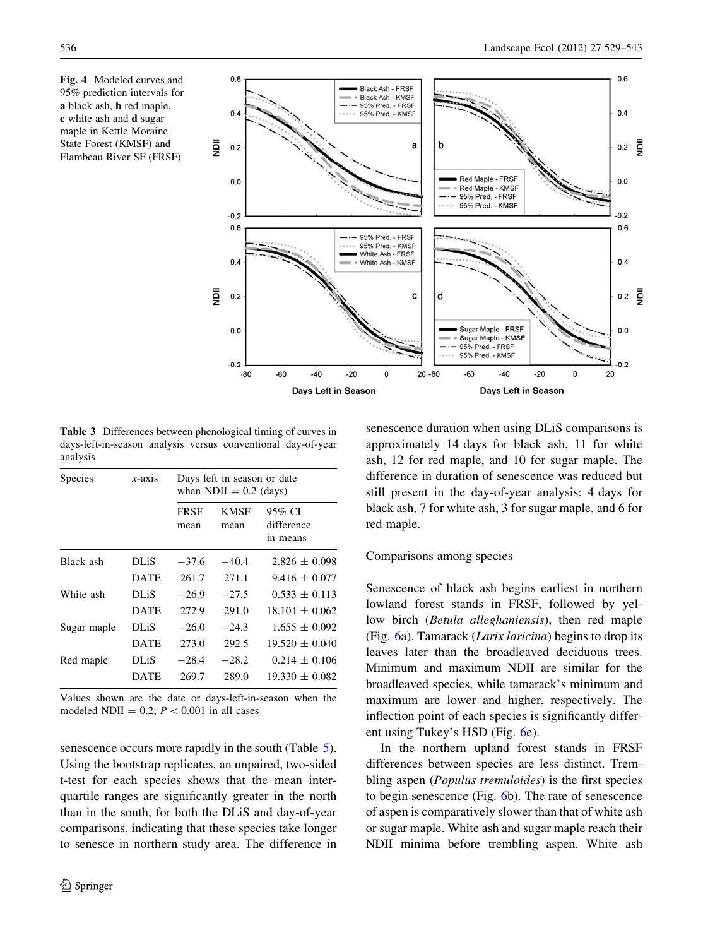<span id="page-7-0"></span>Fig. 4 Modeled curves and 95% prediction intervals for a black ash, b red maple, c white ash and d sugar maple in Kettle Moraine State Forest (KMSF) and Flambeau River SF (FRSF)



Table 3 Differences between phenological timing of curves in days-left-in-season analysis versus conventional day-of-year analysis

| <b>Species</b> | $x$ -axis   | Days left in season or date<br>when $NDII = 0.2$ (days) |                     |                                  |
|----------------|-------------|---------------------------------------------------------|---------------------|----------------------------------|
|                |             | <b>FRSF</b><br>mean                                     | <b>KMSF</b><br>mean | 95% CI<br>difference<br>in means |
| Black ash      | DL iS       | $-37.6$                                                 | $-40.4$             | $2.826 \pm 0.098$                |
|                | <b>DATE</b> | 261.7                                                   | 271.1               | $9.416 \pm 0.077$                |
| White ash      | <b>DLiS</b> | $-26.9$                                                 | $-27.5$             | $0.533 \pm 0.113$                |
|                | <b>DATE</b> | 272.9                                                   | 291.0               | $18.104 \pm 0.062$               |
| Sugar maple    | DLiS        | $-26.0$                                                 | $-24.3$             | $1.655 \pm 0.092$                |
|                | <b>DATE</b> | 273.0                                                   | 292.5               | $19.520 \pm 0.040$               |
| Red maple      | <b>DLiS</b> | $-28.4$                                                 | $-28.2$             | $0.214 \pm 0.106$                |
|                | <b>DATE</b> | 269.7                                                   | 289.0               | $19.330 \pm 0.082$               |

Values shown are the date or days-left-in-season when the modeled NDII = 0.2;  $P \lt 0.001$  in all cases

senescence occurs more rapidly in the south (Table [5](#page-8-0)). Using the bootstrap replicates, an unpaired, two-sided t-test for each species shows that the mean interquartile ranges are significantly greater in the north than in the south, for both the DLiS and day-of-year comparisons, indicating that these species take longer to senesce in northern study area. The difference in senescence duration when using DLiS comparisons is approximately 14 days for black ash, 11 for white ash, 12 for red maple, and 10 for sugar maple. The difference in duration of senescence was reduced but still present in the day-of-year analysis: 4 days for black ash, 7 for white ash, 3 for sugar maple, and 6 for red maple.

### Comparisons among species

Senescence of black ash begins earliest in northern lowland forest stands in FRSF, followed by yellow birch (Betula alleghaniensis), then red maple (Fig. [6](#page-9-0)a). Tamarack (Larix laricina) begins to drop its leaves later than the broadleaved deciduous trees. Minimum and maximum NDII are similar for the broadleaved species, while tamarack's minimum and maximum are lower and higher, respectively. The inflection point of each species is significantly different using Tukey's HSD (Fig. [6e](#page-9-0)).

In the northern upland forest stands in FRSF differences between species are less distinct. Trembling aspen (*Populus tremuloides*) is the first species to begin senescence (Fig. [6](#page-9-0)b). The rate of senescence of aspen is comparatively slower than that of white ash or sugar maple. White ash and sugar maple reach their NDII minima before trembling aspen. White ash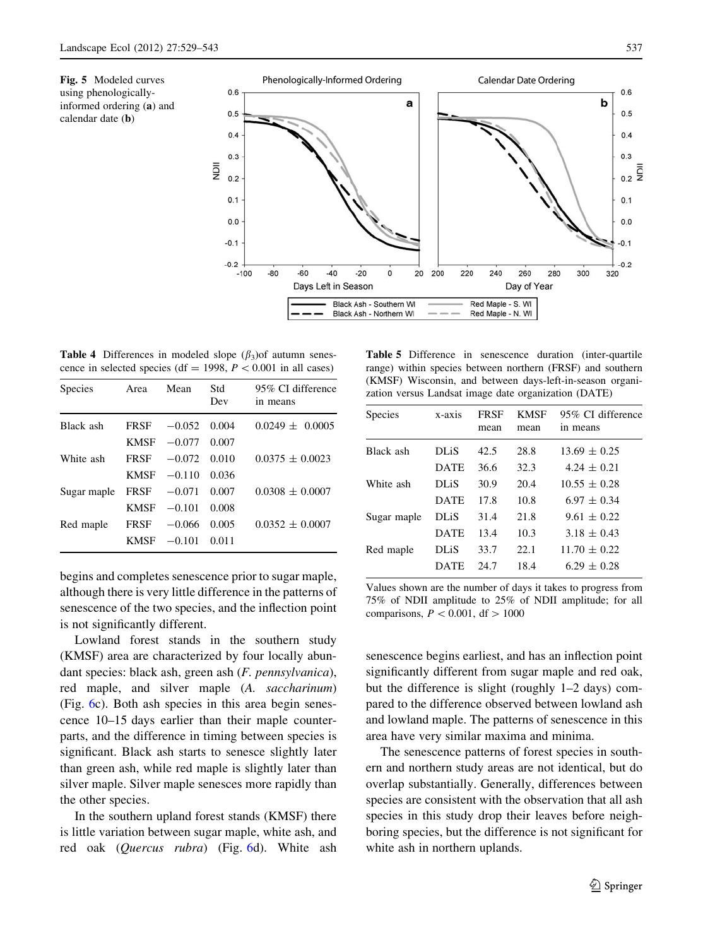<span id="page-8-0"></span>Fig. 5 Modeled curves using phenologicallyinformed ordering (a) and calendar date (b)



**Table 4** Differences in modeled slope  $(\beta_3)$ of autumn senescence in selected species (df = 1998,  $P \le 0.001$  in all cases)

| Species     | Area        | Mean     | Std<br>Dev | 95% CI difference<br>in means |
|-------------|-------------|----------|------------|-------------------------------|
| Black ash   | <b>FRSF</b> | $-0.052$ | 0.004      | $0.0249 \pm 0.0005$           |
|             | <b>KMSF</b> | $-0.077$ | 0.007      |                               |
| White ash   | <b>FRSF</b> | $-0.072$ | 0.010      | $0.0375 \pm 0.0023$           |
|             | <b>KMSF</b> | $-0.110$ | 0.036      |                               |
| Sugar maple | <b>FRSF</b> | $-0.071$ | 0.007      | $0.0308 \pm 0.0007$           |
|             | <b>KMSF</b> | $-0.101$ | 0.008      |                               |
| Red maple   | <b>FRSF</b> | $-0.066$ | 0.005      | $0.0352 \pm 0.0007$           |
|             | KMSF        | $-0.101$ | 0.011      |                               |

begins and completes senescence prior to sugar maple, although there is very little difference in the patterns of senescence of the two species, and the inflection point is not significantly different.

Lowland forest stands in the southern study (KMSF) area are characterized by four locally abundant species: black ash, green ash (F. pennsylvanica), red maple, and silver maple (A. saccharinum) (Fig. [6](#page-9-0)c). Both ash species in this area begin senescence 10–15 days earlier than their maple counterparts, and the difference in timing between species is significant. Black ash starts to senesce slightly later than green ash, while red maple is slightly later than silver maple. Silver maple senesces more rapidly than the other species.

In the southern upland forest stands (KMSF) there is little variation between sugar maple, white ash, and red oak (*Quercus rubra*) (Fig. [6](#page-9-0)d). White ash

Table 5 Difference in senescence duration (inter-quartile range) within species between northern (FRSF) and southern (KMSF) Wisconsin, and between days-left-in-season organization versus Landsat image date organization (DATE)

| <b>Species</b> | x-axis      | <b>FRSF</b><br>mean | <b>KMSF</b><br>mean | 95% CI difference<br>in means |
|----------------|-------------|---------------------|---------------------|-------------------------------|
| Black ash      | DL iS       | 42.5                | 28.8                | $13.69 \pm 0.25$              |
|                | <b>DATE</b> | 36.6                | 32.3                | $4.24 + 0.21$                 |
| White ash      | DL iS       | 30.9                | 20.4                | $10.55 + 0.28$                |
|                | <b>DATE</b> | 17.8                | 10.8                | $6.97 \pm 0.34$               |
| Sugar maple    | DLiS        | 31.4                | 21.8                | $9.61 + 0.22$                 |
|                | <b>DATE</b> | 13.4                | 10.3                | $3.18 \pm 0.43$               |
| Red maple      | DLiS        | 33.7                | 22.1                | $11.70 + 0.22$                |
|                | <b>DATE</b> | 24.7                | 18.4                | $6.29 + 0.28$                 |

Values shown are the number of days it takes to progress from 75% of NDII amplitude to 25% of NDII amplitude; for all comparisons,  $P < 0.001$ , df  $> 1000$ 

senescence begins earliest, and has an inflection point significantly different from sugar maple and red oak, but the difference is slight (roughly 1–2 days) compared to the difference observed between lowland ash and lowland maple. The patterns of senescence in this area have very similar maxima and minima.

The senescence patterns of forest species in southern and northern study areas are not identical, but do overlap substantially. Generally, differences between species are consistent with the observation that all ash species in this study drop their leaves before neighboring species, but the difference is not significant for white ash in northern uplands.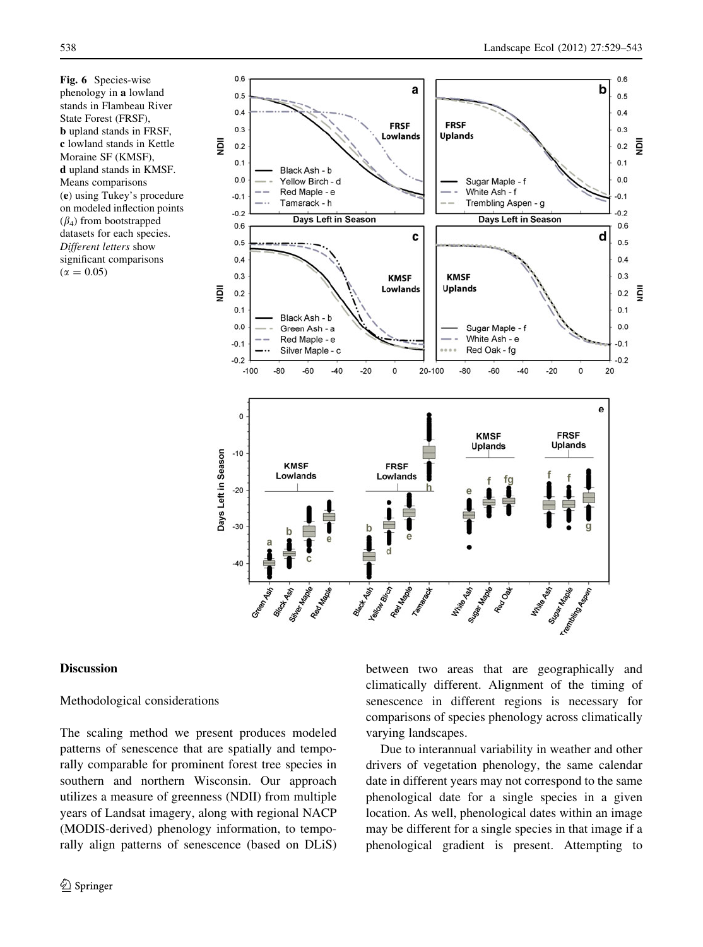<span id="page-9-0"></span>Fig. 6 Species-wise phenology in a lowland stands in Flambeau River State Forest (FRSF), b upland stands in FRSF, c lowland stands in Kettle Moraine SF (KMSF), d upland stands in KMSF. Means comparisons (e) using Tukey's procedure on modeled inflection points  $(\beta_4)$  from bootstrapped datasets for each species. Different letters show significant comparisons  $(\alpha = 0.05)$ 



#### Discussion

#### Methodological considerations

The scaling method we present produces modeled patterns of senescence that are spatially and temporally comparable for prominent forest tree species in southern and northern Wisconsin. Our approach utilizes a measure of greenness (NDII) from multiple years of Landsat imagery, along with regional NACP (MODIS-derived) phenology information, to temporally align patterns of senescence (based on DLiS) between two areas that are geographically and climatically different. Alignment of the timing of senescence in different regions is necessary for comparisons of species phenology across climatically varying landscapes.

Due to interannual variability in weather and other drivers of vegetation phenology, the same calendar date in different years may not correspond to the same phenological date for a single species in a given location. As well, phenological dates within an image may be different for a single species in that image if a phenological gradient is present. Attempting to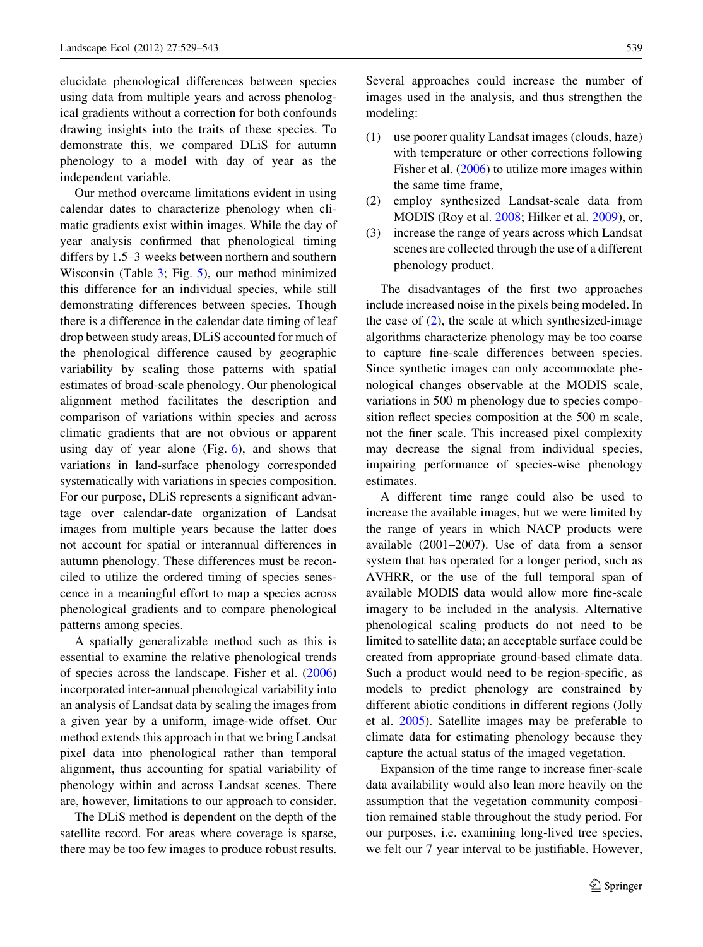elucidate phenological differences between species using data from multiple years and across phenological gradients without a correction for both confounds drawing insights into the traits of these species. To demonstrate this, we compared DLiS for autumn phenology to a model with day of year as the independent variable.

Our method overcame limitations evident in using calendar dates to characterize phenology when climatic gradients exist within images. While the day of year analysis confirmed that phenological timing differs by 1.5–3 weeks between northern and southern Wisconsin (Table [3](#page-7-0); Fig. [5](#page-8-0)), our method minimized this difference for an individual species, while still demonstrating differences between species. Though there is a difference in the calendar date timing of leaf drop between study areas, DLiS accounted for much of the phenological difference caused by geographic variability by scaling those patterns with spatial estimates of broad-scale phenology. Our phenological alignment method facilitates the description and comparison of variations within species and across climatic gradients that are not obvious or apparent using day of year alone (Fig.  $6$ ), and shows that variations in land-surface phenology corresponded systematically with variations in species composition. For our purpose, DLiS represents a significant advantage over calendar-date organization of Landsat images from multiple years because the latter does not account for spatial or interannual differences in autumn phenology. These differences must be reconciled to utilize the ordered timing of species senescence in a meaningful effort to map a species across phenological gradients and to compare phenological patterns among species.

A spatially generalizable method such as this is essential to examine the relative phenological trends of species across the landscape. Fisher et al. ([2006\)](#page-14-0) incorporated inter-annual phenological variability into an analysis of Landsat data by scaling the images from a given year by a uniform, image-wide offset. Our method extends this approach in that we bring Landsat pixel data into phenological rather than temporal alignment, thus accounting for spatial variability of phenology within and across Landsat scenes. There are, however, limitations to our approach to consider.

The DLiS method is dependent on the depth of the satellite record. For areas where coverage is sparse, there may be too few images to produce robust results. Several approaches could increase the number of images used in the analysis, and thus strengthen the modeling:

- (1) use poorer quality Landsat images (clouds, haze) with temperature or other corrections following Fisher et al. [\(2006](#page-14-0)) to utilize more images within the same time frame,
- (2) employ synthesized Landsat-scale data from MODIS (Roy et al. [2008;](#page-14-0) Hilker et al. [2009](#page-14-0)), or,
- (3) increase the range of years across which Landsat scenes are collected through the use of a different phenology product.

The disadvantages of the first two approaches include increased noise in the pixels being modeled. In the case of  $(2)$  $(2)$ , the scale at which synthesized-image algorithms characterize phenology may be too coarse to capture fine-scale differences between species. Since synthetic images can only accommodate phenological changes observable at the MODIS scale, variations in 500 m phenology due to species composition reflect species composition at the 500 m scale, not the finer scale. This increased pixel complexity may decrease the signal from individual species, impairing performance of species-wise phenology estimates.

A different time range could also be used to increase the available images, but we were limited by the range of years in which NACP products were available (2001–2007). Use of data from a sensor system that has operated for a longer period, such as AVHRR, or the use of the full temporal span of available MODIS data would allow more fine-scale imagery to be included in the analysis. Alternative phenological scaling products do not need to be limited to satellite data; an acceptable surface could be created from appropriate ground-based climate data. Such a product would need to be region-specific, as models to predict phenology are constrained by different abiotic conditions in different regions (Jolly et al. [2005\)](#page-14-0). Satellite images may be preferable to climate data for estimating phenology because they capture the actual status of the imaged vegetation.

Expansion of the time range to increase finer-scale data availability would also lean more heavily on the assumption that the vegetation community composition remained stable throughout the study period. For our purposes, i.e. examining long-lived tree species, we felt our 7 year interval to be justifiable. However,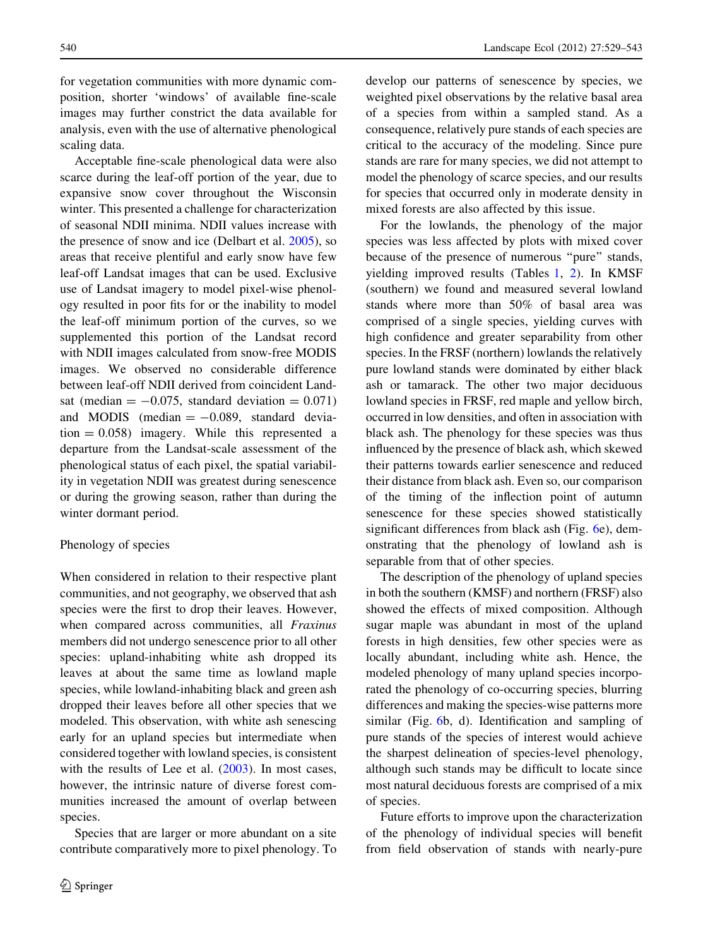for vegetation communities with more dynamic composition, shorter 'windows' of available fine-scale images may further constrict the data available for analysis, even with the use of alternative phenological scaling data.

Acceptable fine-scale phenological data were also scarce during the leaf-off portion of the year, due to expansive snow cover throughout the Wisconsin winter. This presented a challenge for characterization of seasonal NDII minima. NDII values increase with the presence of snow and ice (Delbart et al. [2005\)](#page-13-0), so areas that receive plentiful and early snow have few leaf-off Landsat images that can be used. Exclusive use of Landsat imagery to model pixel-wise phenology resulted in poor fits for or the inability to model the leaf-off minimum portion of the curves, so we supplemented this portion of the Landsat record with NDII images calculated from snow-free MODIS images. We observed no considerable difference between leaf-off NDII derived from coincident Landsat (median  $= -0.075$ , standard deviation  $= 0.071$ ) and MODIS (median  $= -0.089$ , standard devia $tion = 0.058)$  imagery. While this represented a departure from the Landsat-scale assessment of the phenological status of each pixel, the spatial variability in vegetation NDII was greatest during senescence or during the growing season, rather than during the winter dormant period.

## Phenology of species

When considered in relation to their respective plant communities, and not geography, we observed that ash species were the first to drop their leaves. However, when compared across communities, all Fraxinus members did not undergo senescence prior to all other species: upland-inhabiting white ash dropped its leaves at about the same time as lowland maple species, while lowland-inhabiting black and green ash dropped their leaves before all other species that we modeled. This observation, with white ash senescing early for an upland species but intermediate when considered together with lowland species, is consistent with the results of Lee et al. ([2003](#page-14-0)). In most cases, however, the intrinsic nature of diverse forest communities increased the amount of overlap between species.

Species that are larger or more abundant on a site contribute comparatively more to pixel phenology. To develop our patterns of senescence by species, we weighted pixel observations by the relative basal area of a species from within a sampled stand. As a consequence, relatively pure stands of each species are critical to the accuracy of the modeling. Since pure stands are rare for many species, we did not attempt to model the phenology of scarce species, and our results for species that occurred only in moderate density in mixed forests are also affected by this issue.

For the lowlands, the phenology of the major species was less affected by plots with mixed cover because of the presence of numerous ''pure'' stands, yielding improved results (Tables [1](#page-2-0), [2\)](#page-3-0). In KMSF (southern) we found and measured several lowland stands where more than 50% of basal area was comprised of a single species, yielding curves with high confidence and greater separability from other species. In the FRSF (northern) lowlands the relatively pure lowland stands were dominated by either black ash or tamarack. The other two major deciduous lowland species in FRSF, red maple and yellow birch, occurred in low densities, and often in association with black ash. The phenology for these species was thus influenced by the presence of black ash, which skewed their patterns towards earlier senescence and reduced their distance from black ash. Even so, our comparison of the timing of the inflection point of autumn senescence for these species showed statistically significant differences from black ash (Fig. [6e](#page-9-0)), demonstrating that the phenology of lowland ash is separable from that of other species.

The description of the phenology of upland species in both the southern (KMSF) and northern (FRSF) also showed the effects of mixed composition. Although sugar maple was abundant in most of the upland forests in high densities, few other species were as locally abundant, including white ash. Hence, the modeled phenology of many upland species incorporated the phenology of co-occurring species, blurring differences and making the species-wise patterns more similar (Fig. [6b](#page-9-0), d). Identification and sampling of pure stands of the species of interest would achieve the sharpest delineation of species-level phenology, although such stands may be difficult to locate since most natural deciduous forests are comprised of a mix of species.

Future efforts to improve upon the characterization of the phenology of individual species will benefit from field observation of stands with nearly-pure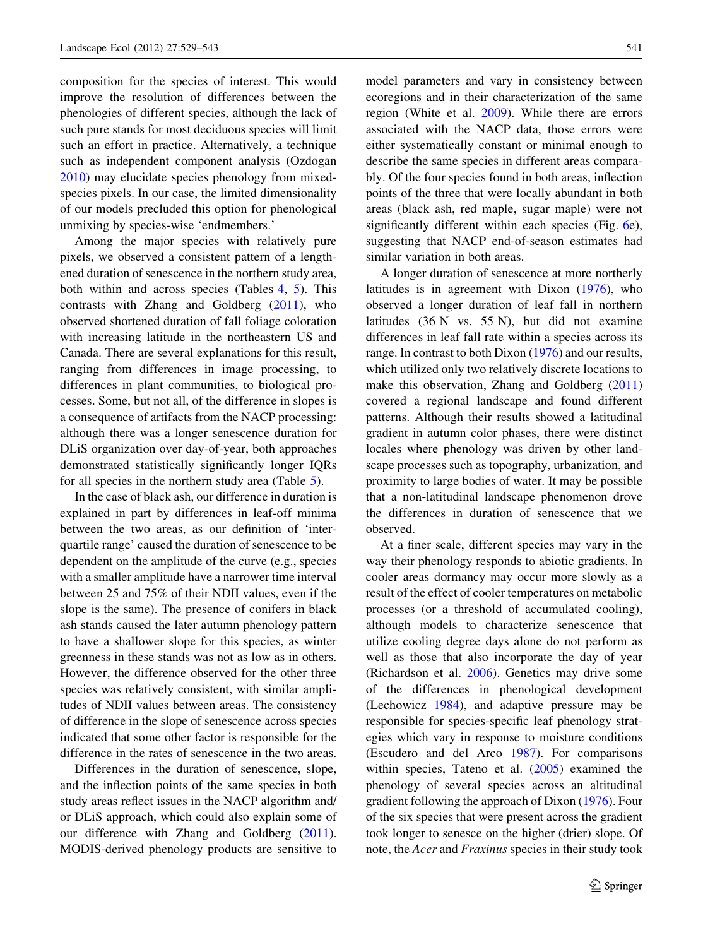composition for the species of interest. This would improve the resolution of differences between the phenologies of different species, although the lack of such pure stands for most deciduous species will limit such an effort in practice. Alternatively, a technique such as independent component analysis (Ozdogan [2010\)](#page-14-0) may elucidate species phenology from mixedspecies pixels. In our case, the limited dimensionality of our models precluded this option for phenological unmixing by species-wise 'endmembers.'

Among the major species with relatively pure pixels, we observed a consistent pattern of a lengthened duration of senescence in the northern study area, both within and across species (Tables [4](#page-8-0), [5\)](#page-8-0). This contrasts with Zhang and Goldberg ([2011\)](#page-14-0), who observed shortened duration of fall foliage coloration with increasing latitude in the northeastern US and Canada. There are several explanations for this result, ranging from differences in image processing, to differences in plant communities, to biological processes. Some, but not all, of the difference in slopes is a consequence of artifacts from the NACP processing: although there was a longer senescence duration for DLiS organization over day-of-year, both approaches demonstrated statistically significantly longer IQRs for all species in the northern study area (Table [5\)](#page-8-0).

In the case of black ash, our difference in duration is explained in part by differences in leaf-off minima between the two areas, as our definition of 'interquartile range' caused the duration of senescence to be dependent on the amplitude of the curve (e.g., species with a smaller amplitude have a narrower time interval between 25 and 75% of their NDII values, even if the slope is the same). The presence of conifers in black ash stands caused the later autumn phenology pattern to have a shallower slope for this species, as winter greenness in these stands was not as low as in others. However, the difference observed for the other three species was relatively consistent, with similar amplitudes of NDII values between areas. The consistency of difference in the slope of senescence across species indicated that some other factor is responsible for the difference in the rates of senescence in the two areas.

Differences in the duration of senescence, slope, and the inflection points of the same species in both study areas reflect issues in the NACP algorithm and/ or DLiS approach, which could also explain some of our difference with Zhang and Goldberg [\(2011](#page-14-0)). MODIS-derived phenology products are sensitive to

model parameters and vary in consistency between ecoregions and in their characterization of the same region (White et al. [2009\)](#page-14-0). While there are errors associated with the NACP data, those errors were either systematically constant or minimal enough to describe the same species in different areas comparably. Of the four species found in both areas, inflection points of the three that were locally abundant in both areas (black ash, red maple, sugar maple) were not significantly different within each species (Fig. [6e](#page-9-0)), suggesting that NACP end-of-season estimates had similar variation in both areas.

A longer duration of senescence at more northerly latitudes is in agreement with Dixon [\(1976](#page-13-0)), who observed a longer duration of leaf fall in northern latitudes (36 N vs. 55 N), but did not examine differences in leaf fall rate within a species across its range. In contrast to both Dixon ([1976\)](#page-13-0) and our results, which utilized only two relatively discrete locations to make this observation, Zhang and Goldberg ([2011\)](#page-14-0) covered a regional landscape and found different patterns. Although their results showed a latitudinal gradient in autumn color phases, there were distinct locales where phenology was driven by other landscape processes such as topography, urbanization, and proximity to large bodies of water. It may be possible that a non-latitudinal landscape phenomenon drove the differences in duration of senescence that we observed.

At a finer scale, different species may vary in the way their phenology responds to abiotic gradients. In cooler areas dormancy may occur more slowly as a result of the effect of cooler temperatures on metabolic processes (or a threshold of accumulated cooling), although models to characterize senescence that utilize cooling degree days alone do not perform as well as those that also incorporate the day of year (Richardson et al. [2006\)](#page-14-0). Genetics may drive some of the differences in phenological development (Lechowicz [1984\)](#page-14-0), and adaptive pressure may be responsible for species-specific leaf phenology strategies which vary in response to moisture conditions (Escudero and del Arco [1987](#page-14-0)). For comparisons within species, Tateno et al. ([2005\)](#page-14-0) examined the phenology of several species across an altitudinal gradient following the approach of Dixon ([1976\)](#page-13-0). Four of the six species that were present across the gradient took longer to senesce on the higher (drier) slope. Of note, the Acer and Fraxinus species in their study took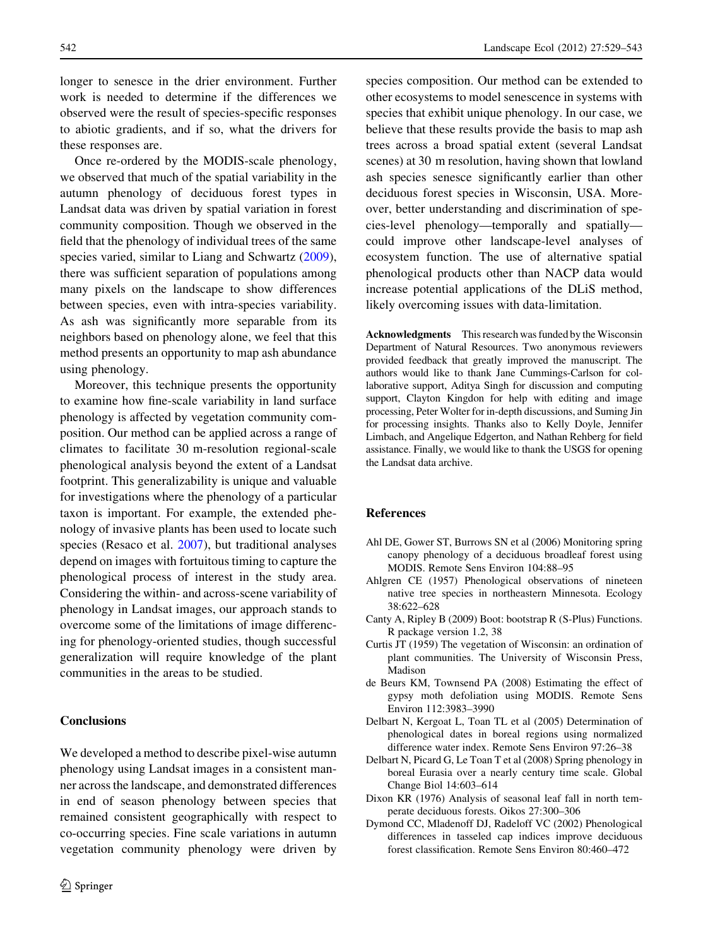<span id="page-13-0"></span>longer to senesce in the drier environment. Further work is needed to determine if the differences we observed were the result of species-specific responses to abiotic gradients, and if so, what the drivers for these responses are.

Once re-ordered by the MODIS-scale phenology, we observed that much of the spatial variability in the autumn phenology of deciduous forest types in Landsat data was driven by spatial variation in forest community composition. Though we observed in the field that the phenology of individual trees of the same species varied, similar to Liang and Schwartz [\(2009](#page-14-0)), there was sufficient separation of populations among many pixels on the landscape to show differences between species, even with intra-species variability. As ash was significantly more separable from its neighbors based on phenology alone, we feel that this method presents an opportunity to map ash abundance using phenology.

Moreover, this technique presents the opportunity to examine how fine-scale variability in land surface phenology is affected by vegetation community composition. Our method can be applied across a range of climates to facilitate 30 m-resolution regional-scale phenological analysis beyond the extent of a Landsat footprint. This generalizability is unique and valuable for investigations where the phenology of a particular taxon is important. For example, the extended phenology of invasive plants has been used to locate such species (Resaco et al. [2007](#page-14-0)), but traditional analyses depend on images with fortuitous timing to capture the phenological process of interest in the study area. Considering the within- and across-scene variability of phenology in Landsat images, our approach stands to overcome some of the limitations of image differencing for phenology-oriented studies, though successful generalization will require knowledge of the plant communities in the areas to be studied.

## Conclusions

We developed a method to describe pixel-wise autumn phenology using Landsat images in a consistent manner across the landscape, and demonstrated differences in end of season phenology between species that remained consistent geographically with respect to co-occurring species. Fine scale variations in autumn vegetation community phenology were driven by

species composition. Our method can be extended to other ecosystems to model senescence in systems with species that exhibit unique phenology. In our case, we believe that these results provide the basis to map ash trees across a broad spatial extent (several Landsat scenes) at 30 m resolution, having shown that lowland ash species senesce significantly earlier than other deciduous forest species in Wisconsin, USA. Moreover, better understanding and discrimination of species-level phenology—temporally and spatially could improve other landscape-level analyses of ecosystem function. The use of alternative spatial phenological products other than NACP data would increase potential applications of the DLiS method, likely overcoming issues with data-limitation.

Acknowledgments This research was funded by the Wisconsin Department of Natural Resources. Two anonymous reviewers provided feedback that greatly improved the manuscript. The authors would like to thank Jane Cummings-Carlson for collaborative support, Aditya Singh for discussion and computing support, Clayton Kingdon for help with editing and image processing, Peter Wolter for in-depth discussions, and Suming Jin for processing insights. Thanks also to Kelly Doyle, Jennifer Limbach, and Angelique Edgerton, and Nathan Rehberg for field assistance. Finally, we would like to thank the USGS for opening the Landsat data archive.

#### References

- Ahl DE, Gower ST, Burrows SN et al (2006) Monitoring spring canopy phenology of a deciduous broadleaf forest using MODIS. Remote Sens Environ 104:88–95
- Ahlgren CE (1957) Phenological observations of nineteen native tree species in northeastern Minnesota. Ecology 38:622–628
- Canty A, Ripley B (2009) Boot: bootstrap R (S-Plus) Functions. R package version 1.2, 38
- Curtis JT (1959) The vegetation of Wisconsin: an ordination of plant communities. The University of Wisconsin Press, Madison
- de Beurs KM, Townsend PA (2008) Estimating the effect of gypsy moth defoliation using MODIS. Remote Sens Environ 112:3983–3990
- Delbart N, Kergoat L, Toan TL et al (2005) Determination of phenological dates in boreal regions using normalized difference water index. Remote Sens Environ 97:26–38
- Delbart N, Picard G, Le Toan T et al (2008) Spring phenology in boreal Eurasia over a nearly century time scale. Global Change Biol 14:603–614
- Dixon KR (1976) Analysis of seasonal leaf fall in north temperate deciduous forests. Oikos 27:300–306
- Dymond CC, Mladenoff DJ, Radeloff VC (2002) Phenological differences in tasseled cap indices improve deciduous forest classification. Remote Sens Environ 80:460–472